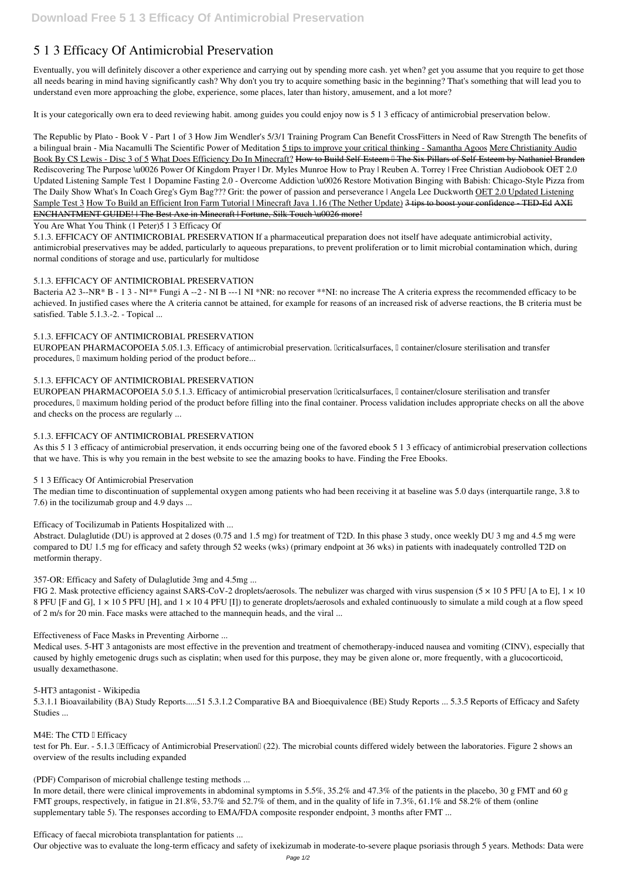# **5 1 3 Efficacy Of Antimicrobial Preservation**

Eventually, you will definitely discover a other experience and carrying out by spending more cash. yet when? get you assume that you require to get those all needs bearing in mind having significantly cash? Why don't you try to acquire something basic in the beginning? That's something that will lead you to understand even more approaching the globe, experience, some places, later than history, amusement, and a lot more?

The Republic by Plato - Book V - Part 1 of 3 *How Jim Wendler's 5/3/1 Training Program Can Benefit CrossFitters in Need of Raw Strength The benefits of a bilingual brain - Mia Nacamulli The Scientific Power of Meditation* 5 tips to improve your critical thinking - Samantha Agoos Mere Christianity Audio Book By CS Lewis - Disc 3 of 5 What Does Efficiency Do In Minecraft? How to Build Self-Esteem I The Six Pillars of Self-Esteem by Nathaniel Branden Rediscovering The Purpose \u0026 Power Of Kingdom Prayer | Dr. Myles Munroe **How to Pray | Reuben A. Torrey | Free Christian Audiobook** OET 2.0 Updated Listening Sample Test 1 *Dopamine Fasting 2.0 - Overcome Addiction \u0026 Restore Motivation Binging with Babish: Chicago-Style Pizza from The Daily Show* **What's In Coach Greg's Gym Bag???** *Grit: the power of passion and perseverance | Angela Lee Duckworth* OET 2.0 Updated Listening Sample Test 3 How To Build an Efficient Iron Farm Tutorial | Minecraft Java 1.16 (The Nether Update) 3 tips to boost your confidence - TED-Ed AXE ENCHANTMENT GUIDE! | The Best Axe in Minecraft | Fortune, Silk Touch \u0026 more!

It is your categorically own era to deed reviewing habit. among guides you could enjoy now is **5 1 3 efficacy of antimicrobial preservation** below.

Bacteria A2 3--NR\* B - 1 3 - NI<sup>\*\*</sup> Fungi A --2 - NI B ---1 NI \*NR: no recover \*\*NI: no increase The A criteria express the recommended efficacy to be achieved. In justified cases where the A criteria cannot be attained, for example for reasons of an increased risk of adverse reactions, the B criteria must be satisfied. Table 5.1.3.-2. - Topical ...

EUROPEAN PHARMACOPOEIA 5.0 5.1.3. Efficacy of antimicrobial preservation *eliticalsurfaces*, *l* container/closure sterilisation and transfer procedures, I maximum holding period of the product before filling into the final container. Process validation includes appropriate checks on all the above and checks on the process are regularly ...

#### You Are What You Think (1 Peter)*5 1 3 Efficacy Of*

5.1.3. EFFICACY OF ANTIMICROBIAL PRESERVATION If a pharmaceutical preparation does not itself have adequate antimicrobial activity, antimicrobial preservatives may be added, particularly to aqueous preparations, to prevent proliferation or to limit microbial contamination which, during normal conditions of storage and use, particularly for multidose

## *5.1.3. EFFICACY OF ANTIMICROBIAL PRESERVATION*

FIG 2. Mask protective efficiency against SARS-CoV-2 droplets/aerosols. The nebulizer was charged with virus suspension  $(5 \times 105$  PFU [A to E],  $1 \times 10$ 8 PFU [F and G], 1 × 10 5 PFU [H], and 1 × 10 4 PFU [I]) to generate droplets/aerosols and exhaled continuously to simulate a mild cough at a flow speed of 2 m/s for 20 min. Face masks were attached to the mannequin heads, and the viral ...

## *5.1.3. EFFICACY OF ANTIMICROBIAL PRESERVATION*

EUROPEAN PHARMACOPOEIA 5.05.1.3. Efficacy of antimicrobial preservation. [criticalsurfaces,  $\mathbb I$  container/closure sterilisation and transfer procedures,  $\Box$  maximum holding period of the product before...

*M4E: The CTD I Efficacy* test for Ph. Eur. - 5.1.3 IEfficacy of Antimicrobial Preservation (22). The microbial counts differed widely between the laboratories. Figure 2 shows an overview of the results including expanded

In more detail, there were clinical improvements in abdominal symptoms in 5.5%, 35.2% and 47.3% of the patients in the placebo, 30 g FMT and 60 g FMT groups, respectively, in fatigue in 21.8%, 53.7% and 52.7% of them, and in the quality of life in 7.3%, 61.1% and 58.2% of them (online supplementary table 5). The responses according to EMA/FDA composite responder endpoint, 3 months after FMT ...

## *5.1.3. EFFICACY OF ANTIMICROBIAL PRESERVATION*

## *5.1.3. EFFICACY OF ANTIMICROBIAL PRESERVATION*

As this 5 1 3 efficacy of antimicrobial preservation, it ends occurring being one of the favored ebook 5 1 3 efficacy of antimicrobial preservation collections that we have. This is why you remain in the best website to see the amazing books to have. Finding the Free Ebooks.

#### *5 1 3 Efficacy Of Antimicrobial Preservation*

The median time to discontinuation of supplemental oxygen among patients who had been receiving it at baseline was 5.0 days (interquartile range, 3.8 to 7.6) in the tocilizumab group and 4.9 days ...

## *Efficacy of Tocilizumab in Patients Hospitalized with ...*

Abstract. Dulaglutide (DU) is approved at 2 doses (0.75 and 1.5 mg) for treatment of T2D. In this phase 3 study, once weekly DU 3 mg and 4.5 mg were compared to DU 1.5 mg for efficacy and safety through 52 weeks (wks) (primary endpoint at 36 wks) in patients with inadequately controlled T2D on metformin therapy.

## *357-OR: Efficacy and Safety of Dulaglutide 3mg and 4.5mg ...*

#### *Effectiveness of Face Masks in Preventing Airborne ...*

Medical uses. 5-HT 3 antagonists are most effective in the prevention and treatment of chemotherapy-induced nausea and vomiting (CINV), especially that caused by highly emetogenic drugs such as cisplatin; when used for this purpose, they may be given alone or, more frequently, with a glucocorticoid,

usually dexamethasone.

*5-HT3 antagonist - Wikipedia*

5.3.1.1 Bioavailability (BA) Study Reports.....51 5.3.1.2 Comparative BA and Bioequivalence (BE) Study Reports ... 5.3.5 Reports of Efficacy and Safety Studies ...

*(PDF) Comparison of microbial challenge testing methods ...*

*Efficacy of faecal microbiota transplantation for patients ...*

Our objective was to evaluate the long-term efficacy and safety of ixekizumab in moderate-to-severe plaque psoriasis through 5 years. Methods: Data were